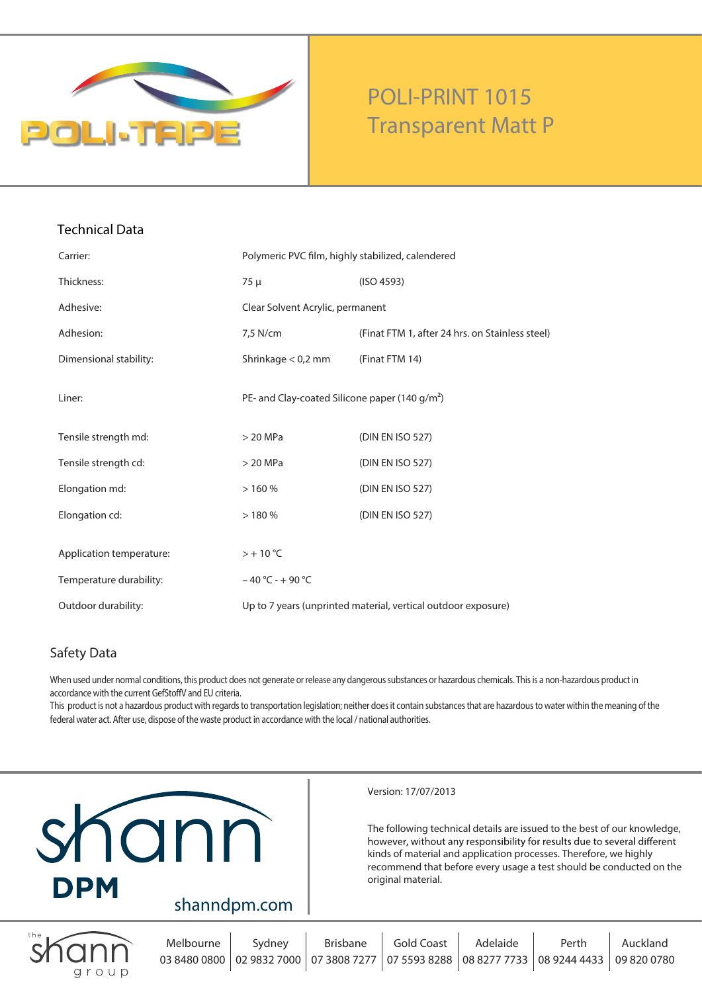

# **POLI-PRINT 1015 Transparent Matt P**

| Carrier:                 | Polymeric PVC film, highly stabilized, calendered             |                                                 |
|--------------------------|---------------------------------------------------------------|-------------------------------------------------|
| Thickness:               | 75 µ                                                          | (ISO 4593)                                      |
| Adhesive:                | Clear Solvent Acrylic, permanent                              |                                                 |
| Adhesion:                | 7,5 N/cm                                                      | (Finat FTM 1, after 24 hrs. on Stainless steel) |
| Dimensional stability:   | Shrinkage $< 0.2$ mm                                          | (Finat FTM 14)                                  |
| Liner:                   | PE- and Clay-coated Silicone paper (140 g/m <sup>2</sup> )    |                                                 |
| Tensile strength md:     | $>$ 20 MPa                                                    | (DIN EN ISO 527)                                |
| Tensile strength cd:     | $>$ 20 MPa                                                    | (DIN EN ISO 527)                                |
| Elongation md:           | >160%                                                         | (DIN EN ISO 527)                                |
| Elongation cd:           | >180%                                                         | (DIN EN ISO 527)                                |
| Application temperature: | $> +10$ °C                                                    |                                                 |
| Temperature durability:  | $-40 °C - +90 °C$                                             |                                                 |
| Outdoor durability:      | Up to 7 years (unprinted material, vertical outdoor exposure) |                                                 |

### **Safety Data**

When used under normal conditions, this product does not generate or release any dangerous substances or hazardous chemicals. Thisis a non-hazardous product in accordance with the current GefStoffV and EU criteria.

This product is not a hazardous product with regards to transportation legislation; neither does it contain substances that are hazardous to water within the meaning of the federal water act. After use, dispose of the waste product in accordance with the local / national authorities.



Version: 17/07/2013

The following technical details are issued to the best of our knowledge, however, without any responsibility for results due to several different kinds of material and application processes. Therefore, we highly recommend that before every usage a test should be conducted on the original material.